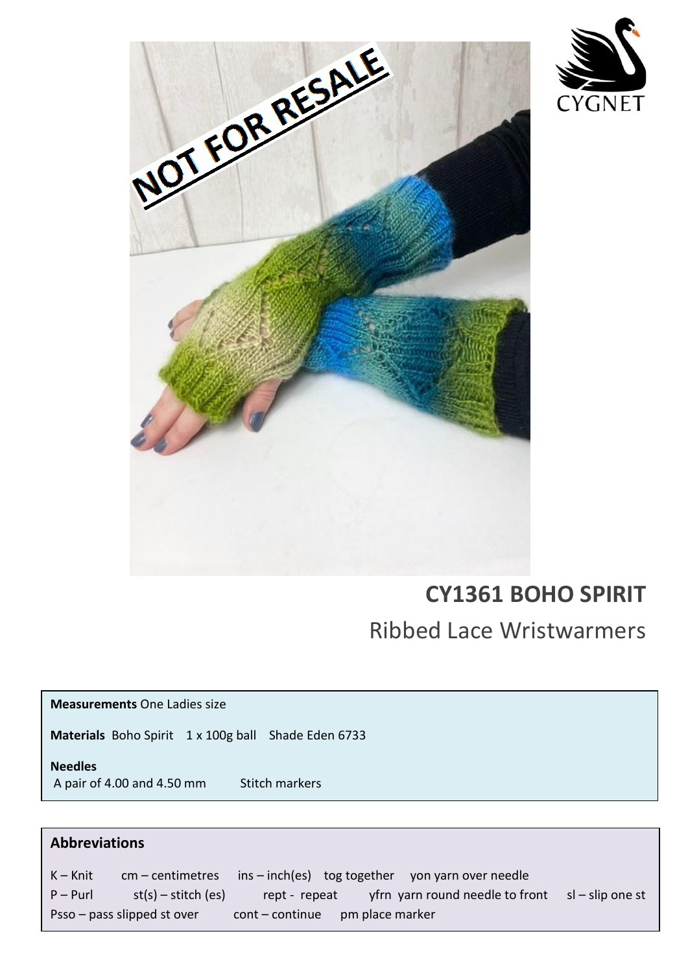



# **CY1361 BOHO SPIRIT**

Ribbed Lace Wristwarmers

**Measurements** One Ladies size

**Materials** Boho Spirit 1 x 100g ballShade Eden 6733

**Needles**  A pair of 4.00 and 4.50 mm Stitch markers

## **Abbreviations**

representation of the contract of the contract of the contract of the contract of the contract of the contract of the contract of the contract of the contract of the contract of the contract of the contract of the contract

(UK 7) needles.<br>The contract of the contract of the contract of the contract of the contract of the contract of the contract o

K – Knit cm – centimetres ins – inch(es) tog together yon yarn over needle  $P - Purl$  st(s) – stitch (es) rept - repeat yfrn yarn round needle to front sl – slip one st Psso – pass slipped st over cont – continue pm place marker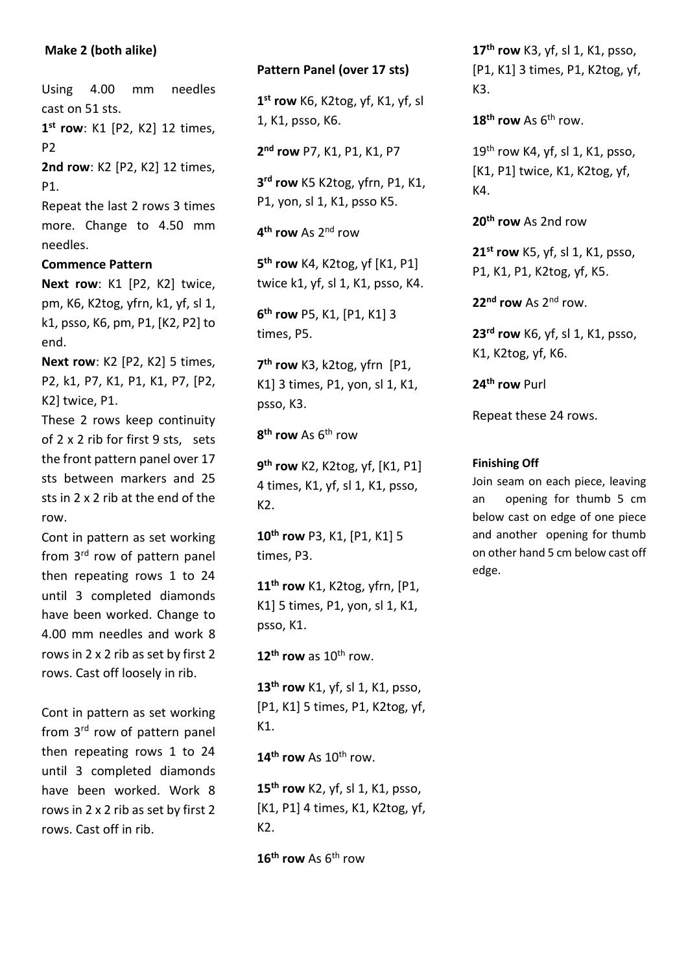### **Make 2 (both alike)**

Using 4.00 mm needles cast on 51 sts. **1 st row**: K1 [P2, K2] 12 times, P2 **2nd row**: K2 [P2, K2] 12 times, P1.

Repeat the last 2 rows 3 times more. Change to 4.50 mm needles.

#### **Commence Pattern**

**Next row**: K1 [P2, K2] twice, pm, K6, K2tog, yfrn, k1, yf, sl 1, k1, psso, K6, pm, P1, [K2, P2] to end.

**Next row**: K2 [P2, K2] 5 times, P2, k1, P7, K1, P1, K1, P7, [P2, K2] twice, P1.

These 2 rows keep continuity of 2 x 2 rib for first 9 sts, sets the front pattern panel over 17 sts between markers and 25 sts in 2 x 2 rib at the end of the row.

Cont in pattern as set working from 3<sup>rd</sup> row of pattern panel then repeating rows 1 to 24 until 3 completed diamonds have been worked. Change to 4.00 mm needles and work 8 rows in 2 x 2 rib as set by first 2 rows. Cast off loosely in rib.

Cont in pattern as set working from 3<sup>rd</sup> row of pattern panel then repeating rows 1 to 24 until 3 completed diamonds have been worked. Work 8 rows in 2 x 2 rib as set by first 2 rows. Cast off in rib.

#### **Pattern Panel (over 17 sts)**

**1 st row** K6, K2tog, yf, K1, yf, sl 1, K1, psso, K6.

**2 nd row** P7, K1, P1, K1, P7

**3 rd row** K5 K2tog, yfrn, P1, K1, P1, yon, sl 1, K1, psso K5.

**4 th row** As 2nd row

**5 th row** K4, K2tog, yf [K1, P1] twice k1, yf, sl 1, K1, psso, K4.

**6 th row** P5, K1, [P1, K1] 3 times, P5.

**7 th row** K3, k2tog, yfrn [P1, K1] 3 times, P1, yon, sl 1, K1, psso, K3.

**8 th row** As 6th row

**9 th row** K2, K2tog, yf, [K1, P1] 4 times, K1, yf, sl 1, K1, psso, K2.

**10th row** P3, K1, [P1, K1] 5 times, P3.

**11th row** K1, K2tog, yfrn, [P1, K1] 5 times, P1, yon, sl 1, K1, psso, K1.

 $12^{th}$  **row** as  $10^{th}$  row.

**13th row** K1, yf, sl 1, K1, psso, [P1, K1] 5 times, P1, K2tog, yf, K1.

**14th row** As 10th row.

**15th row** K2, yf, sl 1, K1, psso, [K1, P1] 4 times, K1, K2tog, yf, K2.

**16th row** As 6th row

**17th row** K3, yf, sl 1, K1, psso, [P1, K1] 3 times, P1, K2tog, yf, K3.

 $18<sup>th</sup>$  **row** As  $6<sup>th</sup>$  row.

 $19<sup>th</sup>$  row K4, yf, sl 1, K1, psso, [K1, P1] twice, K1, K2tog, yf, K4.

**20th row** As 2nd row

**21st row** K5, yf, sl 1, K1, psso, P1, K1, P1, K2tog, yf, K5.

**22nd row** As 2nd row.

**23rd row** K6, yf, sl 1, K1, psso, K1, K2tog, yf, K6.

**24th row** Purl

Repeat these 24 rows.

#### **Finishing Off**

Join seam on each piece, leaving an opening for thumb 5 cm below cast on edge of one piece and another opening for thumb on other hand 5 cm below cast off edge.